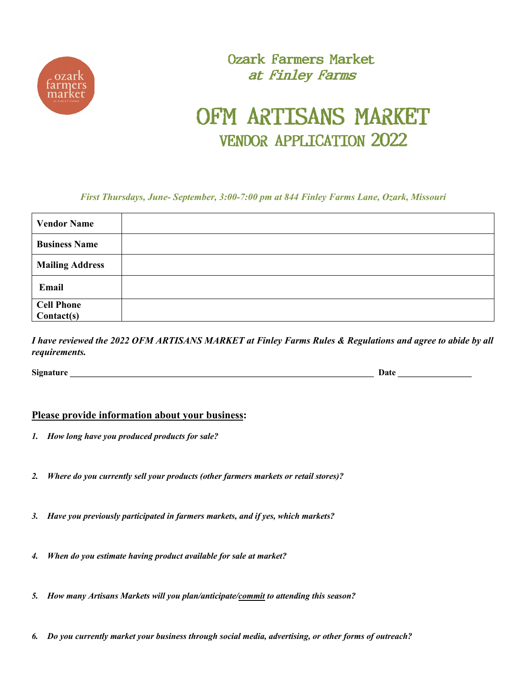

### Ozark Farmers Market at Finley Farms

### OFM ARTISANS MARKET VENDOR APPLICATION 2022

*First Thursdays, June- September, 3:00-7:00 pm at 844 Finley Farms Lane, Ozark, Missouri*

| <b>Vendor Name</b>     |  |
|------------------------|--|
| <b>Business Name</b>   |  |
| <b>Mailing Address</b> |  |
| Email                  |  |
| <b>Cell Phone</b>      |  |
| Context(s)             |  |

*I have reviewed the 2022 OFM ARTISANS MARKET at Finley Farms Rules & Regulations and agree to abide by all requirements.*

**Signature** Date  $\overline{a}$ 

#### **Please provide information about your business:**

- *1. How long have you produced products for sale?*
- *2. Where do you currently sell your products (other farmers markets or retail stores)?*
- *3. Have you previously participated in farmers markets, and if yes, which markets?*
- *4. When do you estimate having product available for sale at market?*
- *5. How many Artisans Markets will you plan/anticipate/commit to attending this season?*
- *6. Do you currently market your business through social media, advertising, or other forms of outreach?*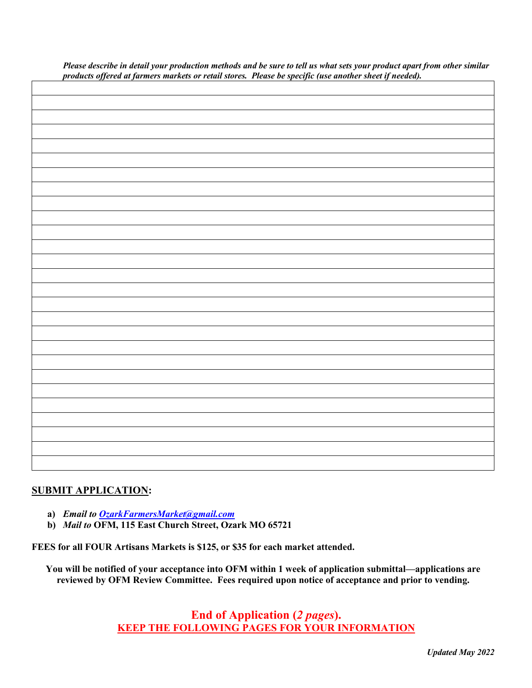| products offered at farmers markets or retail stores. Please be specific (use another sheet if needed). |  |  |
|---------------------------------------------------------------------------------------------------------|--|--|
|                                                                                                         |  |  |
|                                                                                                         |  |  |
|                                                                                                         |  |  |
|                                                                                                         |  |  |
|                                                                                                         |  |  |
|                                                                                                         |  |  |
|                                                                                                         |  |  |
|                                                                                                         |  |  |
|                                                                                                         |  |  |
|                                                                                                         |  |  |
|                                                                                                         |  |  |
|                                                                                                         |  |  |
|                                                                                                         |  |  |
|                                                                                                         |  |  |
|                                                                                                         |  |  |
|                                                                                                         |  |  |
|                                                                                                         |  |  |
|                                                                                                         |  |  |
|                                                                                                         |  |  |
|                                                                                                         |  |  |
|                                                                                                         |  |  |
|                                                                                                         |  |  |
|                                                                                                         |  |  |
|                                                                                                         |  |  |
|                                                                                                         |  |  |
|                                                                                                         |  |  |
|                                                                                                         |  |  |
|                                                                                                         |  |  |
|                                                                                                         |  |  |
|                                                                                                         |  |  |

*Please describe in detail your production methods and be sure to tell us what sets your product apart from other similar products offered at farmers markets or retail stores. Please be specific (use another sheet if needed).*

#### **SUBMIT APPLICATION:**

- **a)** *Email to OzarkFarmersMarket@gmail.com*
- **b)** *Mail to* **OFM, 115 East Church Street, Ozark MO 65721**

**FEES for all FOUR Artisans Markets is \$125, or \$35 for each market attended.**

**You will be notified of your acceptance into OFM within 1 week of application submittal—applications are reviewed by OFM Review Committee. Fees required upon notice of acceptance and prior to vending.** 

> **End of Application (***2 pages***). KEEP THE FOLLOWING PAGES FOR YOUR INFORMATION**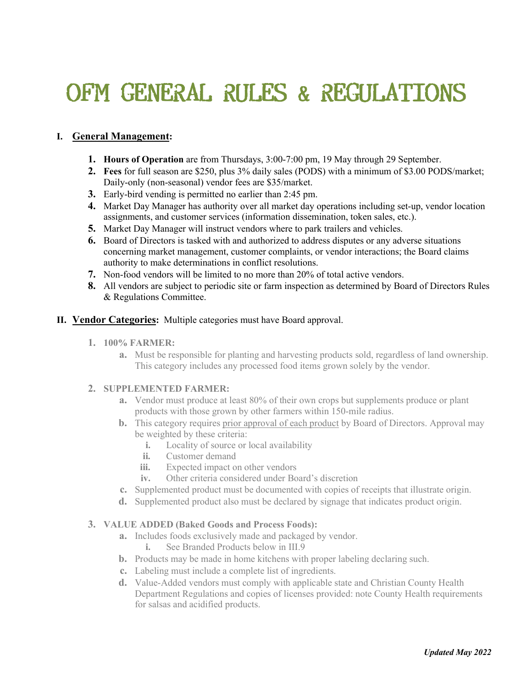# OFM GENERAL RULES & REGULATIONS

#### **I. General Management:**

- **1. Hours of Operation** are from Thursdays, 3:00-7:00 pm, 19 May through 29 September.
- **2. Fees** for full season are \$250, plus 3% daily sales (PODS) with a minimum of \$3.00 PODS/market; Daily-only (non-seasonal) vendor fees are \$35/market.
- **3.** Early-bird vending is permitted no earlier than 2:45 pm.
- **4.** Market Day Manager has authority over all market day operations including set-up, vendor location assignments, and customer services (information dissemination, token sales, etc.).
- **5.** Market Day Manager will instruct vendors where to park trailers and vehicles.
- **6.** Board of Directors is tasked with and authorized to address disputes or any adverse situations concerning market management, customer complaints, or vendor interactions; the Board claims authority to make determinations in conflict resolutions.
- **7.** Non-food vendors will be limited to no more than 20% of total active vendors.
- **8.** All vendors are subject to periodic site or farm inspection as determined by Board of Directors Rules & Regulations Committee.

#### **II. Vendor Categories:** Multiple categories must have Board approval.

- **1. 100% FARMER:**
	- **a.** Must be responsible for planting and harvesting products sold, regardless of land ownership. This category includes any processed food items grown solely by the vendor.

#### **2. SUPPLEMENTED FARMER:**

- **a.** Vendor must produce at least 80% of their own crops but supplements produce or plant products with those grown by other farmers within 150-mile radius.
- **b.** This category requires prior approval of each product by Board of Directors. Approval may be weighted by these criteria:
	- **i.** Locality of source or local availability
	- **ii.** Customer demand
	- **iii.** Expected impact on other vendors
	- **iv.** Other criteria considered under Board's discretion
- **c.** Supplemented product must be documented with copies of receipts that illustrate origin.
- **d.** Supplemented product also must be declared by signage that indicates product origin.

#### **3. VALUE ADDED (Baked Goods and Process Foods):**

- **a.** Includes foods exclusively made and packaged by vendor.
	- **i.** See Branded Products below in III.9
- **b.** Products may be made in home kitchens with proper labeling declaring such.
- **c.** Labeling must include a complete list of ingredients.
- **d.** Value-Added vendors must comply with applicable state and Christian County Health Department Regulations and copies of licenses provided: note County Health requirements for salsas and acidified products.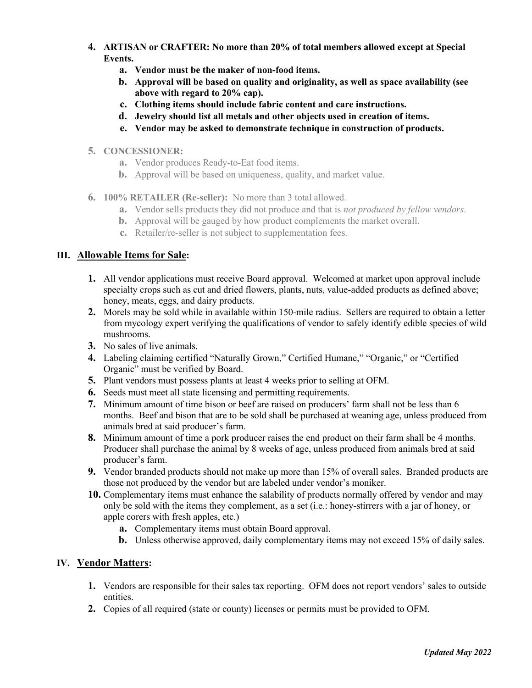- **4. ARTISAN or CRAFTER: No more than 20% of total members allowed except at Special Events.**
	- **a. Vendor must be the maker of non-food items.**
	- **b. Approval will be based on quality and originality, as well as space availability (see above with regard to 20% cap).**
	- **c. Clothing items should include fabric content and care instructions.**
	- **d. Jewelry should list all metals and other objects used in creation of items.**
	- **e. Vendor may be asked to demonstrate technique in construction of products.**

#### **5. CONCESSIONER:**

- **a.** Vendor produces Ready-to-Eat food items.
- **b.** Approval will be based on uniqueness, quality, and market value.
- **6. 100% RETAILER (Re-seller):** No more than 3 total allowed.
	- **a.** Vendor sells products they did not produce and that is *not produced by fellow vendors*.
	- **b.** Approval will be gauged by how product complements the market overall.
	- **c.** Retailer/re-seller is not subject to supplementation fees.

#### **III. Allowable Items for Sale:**

- **1.** All vendor applications must receive Board approval. Welcomed at market upon approval include specialty crops such as cut and dried flowers, plants, nuts, value-added products as defined above; honey, meats, eggs, and dairy products.
- **2.** Morels may be sold while in available within 150-mile radius. Sellers are required to obtain a letter from mycology expert verifying the qualifications of vendor to safely identify edible species of wild mushrooms.
- **3.** No sales of live animals.
- **4.** Labeling claiming certified "Naturally Grown," Certified Humane," "Organic," or "Certified Organic" must be verified by Board.
- **5.** Plant vendors must possess plants at least 4 weeks prior to selling at OFM.
- **6.** Seeds must meet all state licensing and permitting requirements.
- **7.** Minimum amount of time bison or beef are raised on producers' farm shall not be less than 6 months. Beef and bison that are to be sold shall be purchased at weaning age, unless produced from animals bred at said producer's farm.
- **8.** Minimum amount of time a pork producer raises the end product on their farm shall be 4 months. Producer shall purchase the animal by 8 weeks of age, unless produced from animals bred at said producer's farm.
- **9.** Vendor branded products should not make up more than 15% of overall sales. Branded products are those not produced by the vendor but are labeled under vendor's moniker.
- **10.** Complementary items must enhance the salability of products normally offered by vendor and may only be sold with the items they complement, as a set (i.e.: honey-stirrers with a jar of honey, or apple corers with fresh apples, etc.)
	- **a.** Complementary items must obtain Board approval.
	- **b.** Unless otherwise approved, daily complementary items may not exceed 15% of daily sales.

#### **IV. Vendor Matters:**

- **1.** Vendors are responsible for their sales tax reporting. OFM does not report vendors' sales to outside entities.
- **2.** Copies of all required (state or county) licenses or permits must be provided to OFM.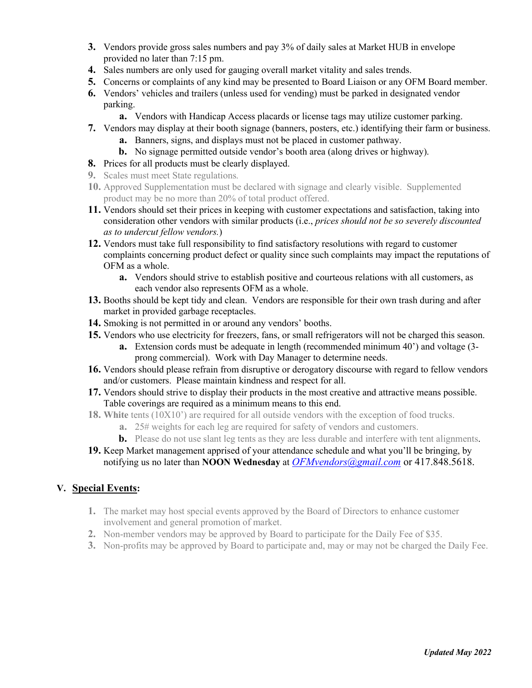- **3.** Vendors provide gross sales numbers and pay 3% of daily sales at Market HUB in envelope provided no later than 7:15 pm.
- **4.** Sales numbers are only used for gauging overall market vitality and sales trends.
- **5.** Concerns or complaints of any kind may be presented to Board Liaison or any OFM Board member.
- **6.** Vendors' vehicles and trailers (unless used for vending) must be parked in designated vendor parking.
	- **a.** Vendors with Handicap Access placards or license tags may utilize customer parking.
- **7.** Vendors may display at their booth signage (banners, posters, etc.) identifying their farm or business. **a.** Banners, signs, and displays must not be placed in customer pathway.
	- **b.** No signage permitted outside vendor's booth area (along drives or highway).
- **8.** Prices for all products must be clearly displayed.
- **9.** Scales must meet State regulations.
- **10.** Approved Supplementation must be declared with signage and clearly visible. Supplemented product may be no more than 20% of total product offered.
- **11.** Vendors should set their prices in keeping with customer expectations and satisfaction, taking into consideration other vendors with similar products (i.e., *prices should not be so severely discounted as to undercut fellow vendors.*)
- **12.** Vendors must take full responsibility to find satisfactory resolutions with regard to customer complaints concerning product defect or quality since such complaints may impact the reputations of OFM as a whole.
	- **a.** Vendors should strive to establish positive and courteous relations with all customers, as each vendor also represents OFM as a whole.
- **13.** Booths should be kept tidy and clean. Vendors are responsible for their own trash during and after market in provided garbage receptacles.
- **14.** Smoking is not permitted in or around any vendors' booths.
- **15.** Vendors who use electricity for freezers, fans, or small refrigerators will not be charged this season.
	- **a.** Extension cords must be adequate in length (recommended minimum 40') and voltage (3 prong commercial). Work with Day Manager to determine needs.
- **16.** Vendors should please refrain from disruptive or derogatory discourse with regard to fellow vendors and/or customers. Please maintain kindness and respect for all.
- **17.** Vendors should strive to display their products in the most creative and attractive means possible. Table coverings are required as a minimum means to this end.
- **18. White** tents (10X10') are required for all outside vendors with the exception of food trucks.
	- **a.** 25# weights for each leg are required for safety of vendors and customers.
	- **b.** Please do not use slant leg tents as they are less durable and interfere with tent alignments.
- **19.** Keep Market management apprised of your attendance schedule and what you'll be bringing, by notifying us no later than **NOON Wednesday** at *OFMvendors@gmail.com* or 417.848.5618.

#### **V. Special Events:**

- **1.** The market may host special events approved by the Board of Directors to enhance customer involvement and general promotion of market.
- **2.** Non-member vendors may be approved by Board to participate for the Daily Fee of \$35.
- **3.** Non-profits may be approved by Board to participate and, may or may not be charged the Daily Fee.